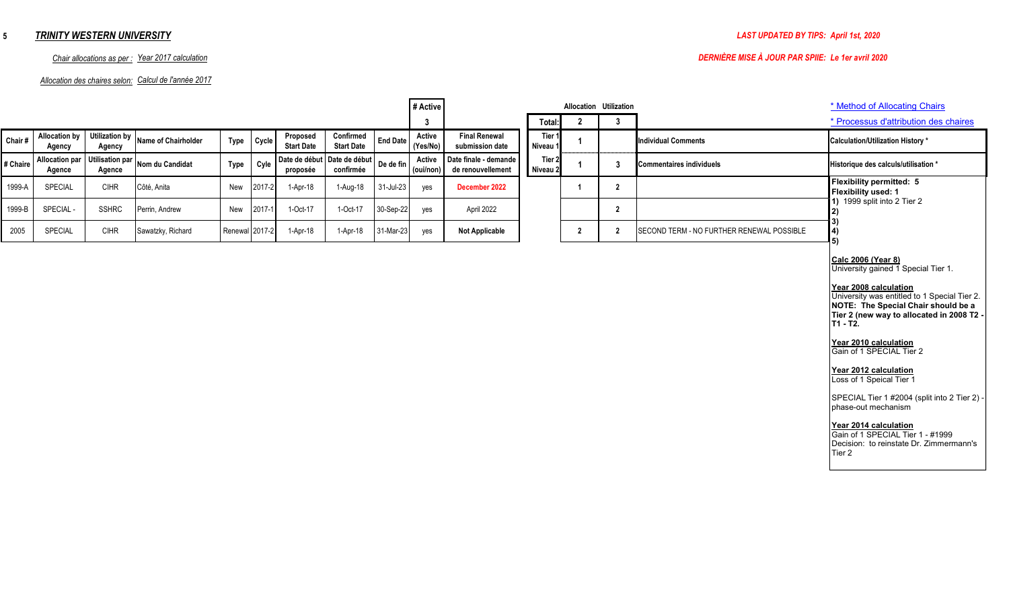# *TRINITY WESTERN UNIVERSITY*

### *Allocation des chaires selon: Calcul de l'année 2017*

# *Chair allocations as per : Year 2017 calculation DERNIÈRE MISE À JOUR PAR SPIIE: Le 1er avril 2020*

|          |                                 |                                  |                     |                |        |                               |                                |                 | # Active            |                                            |                               |                | Allocation Utilization |                                           | * Method of Allocating Chairs                                                                                                                                                                                                                                                                                                                                                                                                                                                                                                         |
|----------|---------------------------------|----------------------------------|---------------------|----------------|--------|-------------------------------|--------------------------------|-----------------|---------------------|--------------------------------------------|-------------------------------|----------------|------------------------|-------------------------------------------|---------------------------------------------------------------------------------------------------------------------------------------------------------------------------------------------------------------------------------------------------------------------------------------------------------------------------------------------------------------------------------------------------------------------------------------------------------------------------------------------------------------------------------------|
|          |                                 |                                  |                     |                |        |                               |                                |                 | 3                   |                                            | Total:                        | $\overline{2}$ | 3                      |                                           | * Processus d'attribution des chaires                                                                                                                                                                                                                                                                                                                                                                                                                                                                                                 |
| Chair#   | <b>Allocation by</b><br>Agency  | <b>Utilization by</b><br>Agency  | Name of Chairholder | <b>Type</b>    | Cycle  | Proposed<br><b>Start Date</b> | Confirmed<br><b>Start Date</b> | <b>End Date</b> | Active<br>(Yes/No)  | <b>Final Renewal</b><br>submission date    | Tier 1<br>Niveau <sup>®</sup> |                |                        | <b>Individual Comments</b>                | <b>Calculation/Utilization History *</b>                                                                                                                                                                                                                                                                                                                                                                                                                                                                                              |
| # Chaire | <b>Allocation par</b><br>Agence | <b>Utilisation par</b><br>Agence | Nom du Candidat     | <b>Type</b>    | Cyle   | Date de début<br>proposée     | Date de début<br>confirmée     | De de fin       | Active<br>(oui/non) | Date finale - demande<br>de renouvellement | Tier 2<br>Niveau <sub>2</sub> |                | 3                      | <b>Commentaires individuels</b>           | Historique des calculs/utilisation *                                                                                                                                                                                                                                                                                                                                                                                                                                                                                                  |
| 1999-A   | SPECIAL                         | <b>CIHR</b>                      | Côté, Anita         | New            | 2017-2 | 1-Apr-18                      | 1-Aug-18                       | 31-Jul-23       | yes                 | December 2022                              |                               |                | $\overline{2}$         |                                           | Flexibility permitted: 5<br>Flexibility used: 1                                                                                                                                                                                                                                                                                                                                                                                                                                                                                       |
| 1999-B   | SPECIAL-                        | <b>SSHRC</b>                     | Perrin, Andrew      | New            | 2017-1 | 1-Oct-17                      | 1-Oct-17                       | 30-Sep-22       | yes                 | April 2022                                 |                               |                | $\overline{2}$         |                                           | 1) 1999 split into 2 Tier 2<br>12)<br>3)                                                                                                                                                                                                                                                                                                                                                                                                                                                                                              |
| 2005     | SPECIAL                         | <b>CIHR</b>                      | Sawatzky, Richard   | Renewal 2017-2 |        | 1-Apr-18                      | 1-Apr-18                       | 31-Mar-23       | yes                 | <b>Not Applicable</b>                      |                               | $\overline{2}$ | $\overline{2}$         | SECOND TERM - NO FURTHER RENEWAL POSSIBLE | 4)<br>5)                                                                                                                                                                                                                                                                                                                                                                                                                                                                                                                              |
|          |                                 |                                  |                     |                |        |                               |                                |                 |                     |                                            |                               |                |                        |                                           | Calc 2006 (Year 8)<br>University gained 1 Special Tier 1.<br>Year 2008 calculation<br>University was entitled to 1 Special Tier 2.<br>NOTE: The Special Chair should be a<br>Tier 2 (new way to allocated in 2008 T2 -<br>T1 - T2.<br>Year 2010 calculation<br>Gain of 1 SPECIAL Tier 2<br>Year 2012 calculation<br>Loss of 1 Speical Tier 1<br>SPECIAL Tier 1 #2004 (split into 2 Tier 2) -<br>phase-out mechanism<br>Year 2014 calculation<br>Gain of 1 SPECIAL Tier 1 - #1999<br>Decision: to reinstate Dr. Zimmermann's<br>Tier 2 |

 $\blacksquare$ 

## **5**